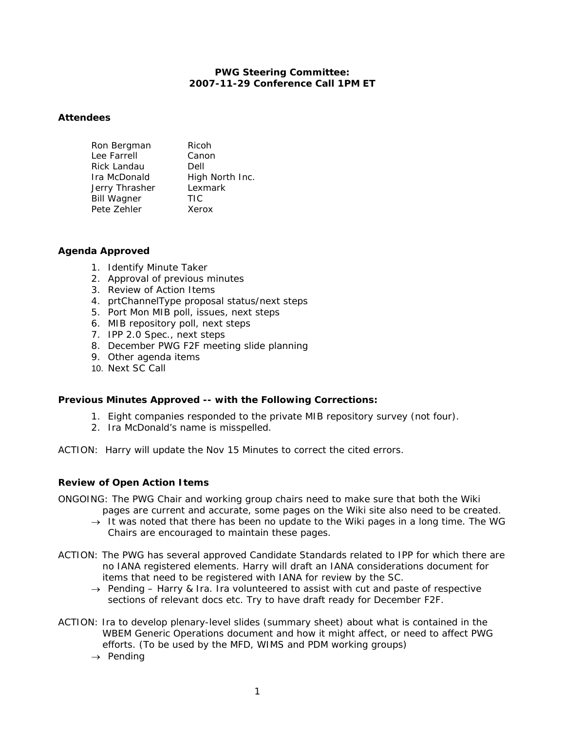## **PWG Steering Committee: 2007-11-29 Conference Call 1PM ET**

### **Attendees**

| Ron Bergman        | Ricoh           |
|--------------------|-----------------|
| Lee Farrell        | Canon           |
| Rick Landau        | Dell            |
| Ira McDonald       | High North Inc. |
| Jerry Thrasher     | Lexmark         |
| <b>Bill Wagner</b> | TIC             |
| Pete Zehler        | Xerox           |

#### **Agenda Approved**

- 1. Identify Minute Taker
- 2. Approval of previous minutes
- 3. Review of Action Items
- 4. prtChannelType proposal status/next steps
- 5. Port Mon MIB poll, issues, next steps
- 6. MIB repository poll, next steps
- 7. IPP 2.0 Spec., next steps
- 8. December PWG F2F meeting slide planning
- 9. Other agenda items
- 10. Next SC Call

### **Previous Minutes Approved -- with the Following Corrections:**

- 1. *Eight* companies responded to the private MIB repository survey (not four).
- 2. Ira McDonald's name is misspelled.
- ACTION: Harry will update the Nov 15 Minutes to correct the cited errors.

### **Review of Open Action Items**

- ONGOING: The PWG Chair and working group chairs need to make sure that both the Wiki pages are current and accurate, some pages on the Wiki site also need to be created.
	- → *It was noted that there has been no update to the Wiki pages in a long time. The WG Chairs are encouraged to maintain these pages.*
- ACTION: The PWG has several approved Candidate Standards related to IPP for which there are no IANA registered elements. Harry will draft an IANA considerations document for items that need to be registered with IANA for review by the SC.
	- → *Pending Harry & Ira. Ira volunteered to assist with cut and paste of respective sections of relevant docs etc. Try to have draft ready for December F2F.*
- ACTION: Ira to develop plenary-level slides (summary sheet) about what is contained in the WBEM Generic Operations document and how it might affect, or need to affect PWG efforts. (To be used by the MFD, WIMS and PDM working groups)
	- → *Pending*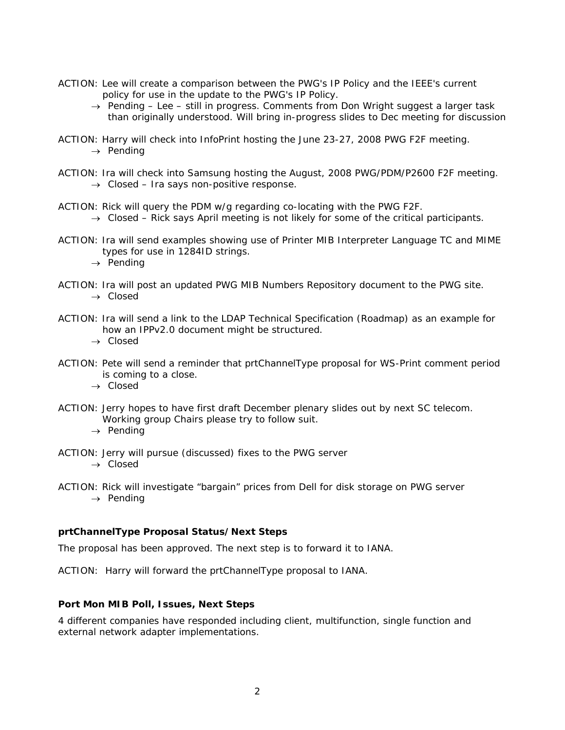- ACTION: Lee will create a comparison between the PWG's IP Policy and the IEEE's current policy for use in the update to the PWG's IP Policy.
	- → *Pending Lee still in progress. Comments from Don Wright suggest a larger task than originally understood. Will bring in-progress slides to Dec meeting for discussion*
- ACTION: Harry will check into InfoPrint hosting the June 23-27, 2008 PWG F2F meeting. → *Pending*
- ACTION: Ira will check into Samsung hosting the August, 2008 PWG/PDM/P2600 F2F meeting. → *Closed – Ira says non-positive response.*
- ACTION: Rick will query the PDM w/g regarding co-locating with the PWG F2F. → *Closed – Rick says April meeting is not likely for some of the critical participants.*
- ACTION: Ira will send examples showing use of Printer MIB Interpreter Language TC and MIME types for use in 1284ID strings.
	- → *Pending*
- ACTION: Ira will post an updated PWG MIB Numbers Repository document to the PWG site. → *Closed*
- ACTION: Ira will send a link to the LDAP Technical Specification (Roadmap) as an example for how an IPPv2.0 document might be structured.

→ *Closed* 

- ACTION: Pete will send a reminder that prtChannelType proposal for WS-Print comment period is coming to a close.
	- → *Closed*
- ACTION: Jerry hopes to have first draft December plenary slides out by next SC telecom. Working group Chairs please try to follow suit.
	- → *Pending*
- ACTION: Jerry will pursue (discussed) fixes to the PWG server → *Closed*
- ACTION: Rick will investigate "bargain" prices from Dell for disk storage on PWG server → *Pending*

### **prtChannelType Proposal Status/Next Steps**

The proposal has been approved. The next step is to forward it to IANA.

ACTION: Harry will forward the prtChannelType proposal to IANA.

## **Port Mon MIB Poll, Issues, Next Steps**

4 different companies have responded including client, multifunction, single function and external network adapter implementations.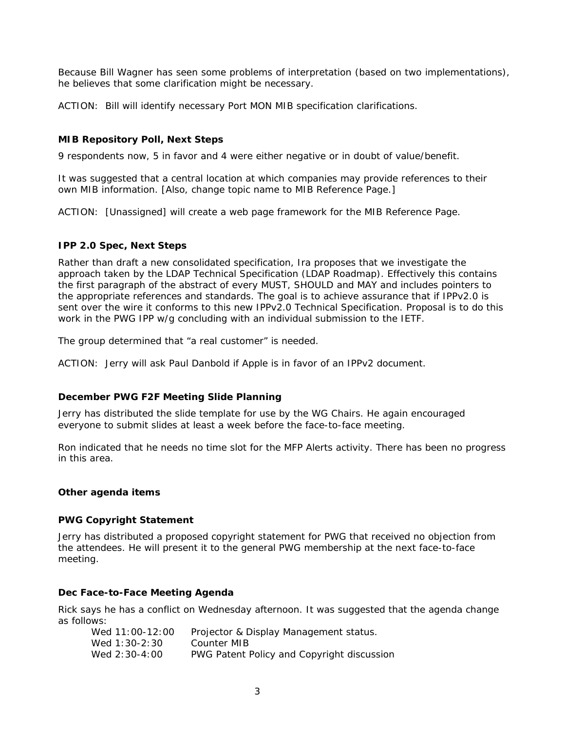Because Bill Wagner has seen some problems of interpretation (based on two implementations), he believes that some clarification might be necessary.

ACTION: Bill will identify necessary Port MON MIB specification clarifications.

# **MIB Repository Poll, Next Steps**

9 respondents now, 5 in favor and 4 were either negative or in doubt of value/benefit.

It was suggested that a central location at which companies may provide references to their own MIB information. [Also, change topic name to MIB Reference Page.]

ACTION: [Unassigned] will create a web page framework for the MIB Reference Page.

### **IPP 2.0 Spec, Next Steps**

Rather than draft a new consolidated specification, Ira proposes that we investigate the approach taken by the LDAP Technical Specification (LDAP Roadmap). Effectively this contains the first paragraph of the abstract of every MUST, SHOULD and MAY and includes pointers to the appropriate references and standards. The goal is to achieve assurance that if IPPv2.0 is sent over the wire it conforms to this new IPPv2.0 Technical Specification. Proposal is to do this work in the PWG IPP w/g concluding with an individual submission to the IETF.

The group determined that "a real customer" is needed.

ACTION: Jerry will ask Paul Danbold if Apple is in favor of an IPPv2 document.

### **December PWG F2F Meeting Slide Planning**

Jerry has distributed the slide template for use by the WG Chairs. He again encouraged everyone to submit slides at least a week before the face-to-face meeting.

Ron indicated that he needs no time slot for the MFP Alerts activity. There has been no progress in this area.

### **Other agenda items**

### **PWG Copyright Statement**

Jerry has distributed a proposed copyright statement for PWG that received no objection from the attendees. He will present it to the general PWG membership at the next face-to-face meeting.

### **Dec Face-to-Face Meeting Agenda**

Rick says he has a conflict on Wednesday afternoon. It was suggested that the agenda change as follows:

| Wed 11:00-12:00 | Projector & Display Management status.     |
|-----------------|--------------------------------------------|
| Wed 1:30-2:30   | Counter MIB                                |
| Wed 2:30-4:00   | PWG Patent Policy and Copyright discussion |